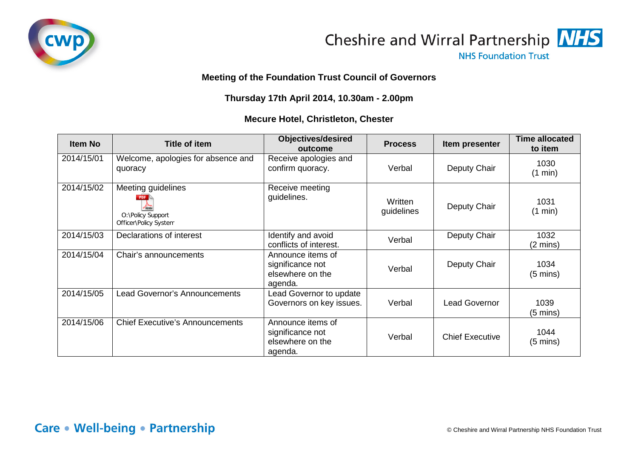



**NHS Foundation Trust** 

## **Meeting of the Foundation Trust Council of Governors**

## **Thursday 17th April 2014, 10.30am - 2.00pm**

## **Mecure Hotel, Christleton, Chester**

| <b>Item No</b> | <b>Title of item</b>                                             | <b>Objectives/desired</b><br>outcome                                 | <b>Process</b>        | Item presenter         | <b>Time allocated</b><br>to item |
|----------------|------------------------------------------------------------------|----------------------------------------------------------------------|-----------------------|------------------------|----------------------------------|
| 2014/15/01     | Welcome, apologies for absence and<br>quoracy                    | Receive apologies and<br>confirm quoracy.                            | Verbal                | Deputy Chair           | 1030<br>(1 min)                  |
| 2014/15/02     | Meeting guidelines<br>O:\Policy Support<br>Officer\Policy System | Receive meeting<br>guidelines.                                       | Written<br>guidelines | Deputy Chair           | 1031<br>(1 min)                  |
| 2014/15/03     | Declarations of interest                                         | Identify and avoid<br>conflicts of interest.                         | Verbal                | Deputy Chair           | 1032<br>$(2 \text{ mins})$       |
| 2014/15/04     | Chair's announcements                                            | Announce items of<br>significance not<br>elsewhere on the<br>agenda. | Verbal                | Deputy Chair           | 1034<br>$(5 \text{ mins})$       |
| 2014/15/05     | <b>Lead Governor's Announcements</b>                             | Lead Governor to update<br>Governors on key issues.                  | Verbal                | <b>Lead Governor</b>   | 1039<br>$(5 \text{ mins})$       |
| 2014/15/06     | <b>Chief Executive's Announcements</b>                           | Announce items of<br>significance not<br>elsewhere on the<br>agenda. | Verbal                | <b>Chief Executive</b> | 1044<br>$(5 \text{ mins})$       |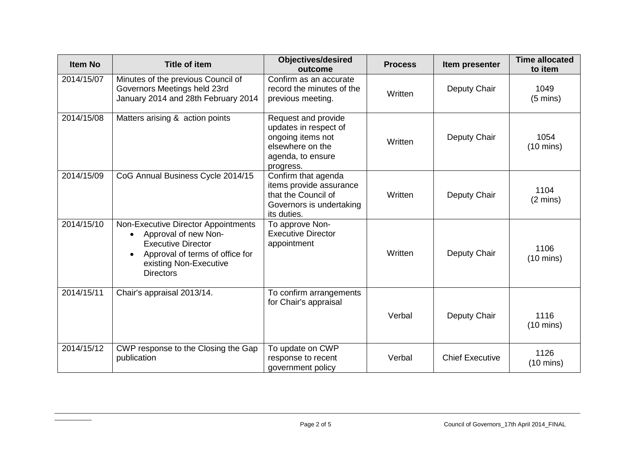| <b>Item No</b> | <b>Title of item</b>                                                                                                                                                      | <b>Objectives/desired</b><br>outcome                                                                                    | <b>Process</b> | Item presenter         | <b>Time allocated</b><br>to item |
|----------------|---------------------------------------------------------------------------------------------------------------------------------------------------------------------------|-------------------------------------------------------------------------------------------------------------------------|----------------|------------------------|----------------------------------|
| 2014/15/07     | Minutes of the previous Council of<br>Governors Meetings held 23rd<br>January 2014 and 28th February 2014                                                                 | Confirm as an accurate<br>record the minutes of the<br>previous meeting.                                                | Written        | Deputy Chair           | 1049<br>$(5 \text{ mins})$       |
| 2014/15/08     | Matters arising & action points                                                                                                                                           | Request and provide<br>updates in respect of<br>ongoing items not<br>elsewhere on the<br>agenda, to ensure<br>progress. | Written        | Deputy Chair           | 1054<br>$(10 \text{ mins})$      |
| 2014/15/09     | CoG Annual Business Cycle 2014/15                                                                                                                                         | Confirm that agenda<br>items provide assurance<br>that the Council of<br>Governors is undertaking<br>its duties.        | Written        | Deputy Chair           | 1104<br>$(2 \text{ mins})$       |
| 2014/15/10     | Non-Executive Director Appointments<br>Approval of new Non-<br><b>Executive Director</b><br>Approval of terms of office for<br>existing Non-Executive<br><b>Directors</b> | To approve Non-<br><b>Executive Director</b><br>appointment                                                             | Written        | Deputy Chair           | 1106<br>$(10 \text{ mins})$      |
| 2014/15/11     | Chair's appraisal 2013/14.                                                                                                                                                | To confirm arrangements<br>for Chair's appraisal                                                                        | Verbal         | Deputy Chair           | 1116<br>$(10 \text{ mins})$      |
| 2014/15/12     | CWP response to the Closing the Gap<br>publication                                                                                                                        | To update on CWP<br>response to recent<br>government policy                                                             | Verbal         | <b>Chief Executive</b> | 1126<br>$(10 \text{ mins})$      |

\_\_\_\_\_\_\_\_\_\_\_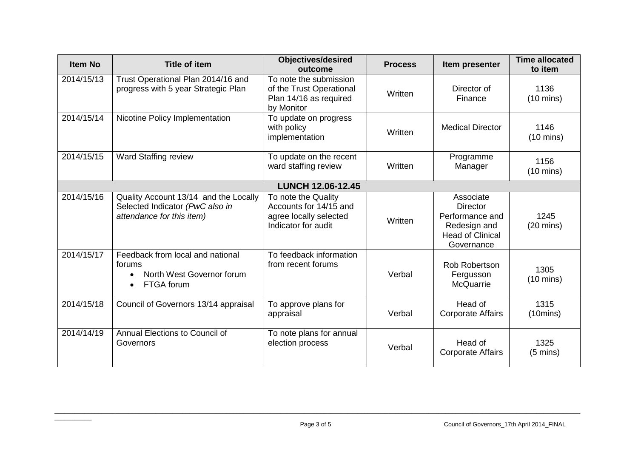| <b>Item No</b>           | <b>Title of item</b>                                                                                  | <b>Objectives/desired</b><br>outcome                                                           | <b>Process</b> | Item presenter                                                                                    | <b>Time allocated</b><br>to item |  |  |
|--------------------------|-------------------------------------------------------------------------------------------------------|------------------------------------------------------------------------------------------------|----------------|---------------------------------------------------------------------------------------------------|----------------------------------|--|--|
| 2014/15/13               | Trust Operational Plan 2014/16 and<br>progress with 5 year Strategic Plan                             | To note the submission<br>of the Trust Operational<br>Plan 14/16 as required<br>by Monitor     | Written        | Director of<br>Finance                                                                            | 1136<br>$(10 \text{ mins})$      |  |  |
| 2014/15/14               | Nicotine Policy Implementation                                                                        | To update on progress<br>with policy<br>implementation                                         | Written        | <b>Medical Director</b>                                                                           | 1146<br>$(10 \text{ mins})$      |  |  |
| 2014/15/15               | Ward Staffing review                                                                                  | To update on the recent<br>ward staffing review                                                | Written        | Programme<br>Manager                                                                              | 1156<br>$(10 \text{ mins})$      |  |  |
| <b>LUNCH 12.06-12.45</b> |                                                                                                       |                                                                                                |                |                                                                                                   |                                  |  |  |
| 2014/15/16               | Quality Account 13/14 and the Locally<br>Selected Indicator (PwC also in<br>attendance for this item) | To note the Quality<br>Accounts for 14/15 and<br>agree locally selected<br>Indicator for audit | Written        | Associate<br>Director<br>Performance and<br>Redesign and<br><b>Head of Clinical</b><br>Governance | 1245<br>$(20 \text{ mins})$      |  |  |
| $2014/15/\overline{17}$  | Feedback from local and national<br>forums<br>North West Governor forum<br>FTGA forum                 | To feedback information<br>from recent forums                                                  | Verbal         | Rob Robertson<br>Fergusson<br><b>McQuarrie</b>                                                    | 1305<br>$(10 \text{ mins})$      |  |  |
| 2014/15/18               | Council of Governors 13/14 appraisal                                                                  | To approve plans for<br>appraisal                                                              | Verbal         | Head of<br><b>Corporate Affairs</b>                                                               | 1315<br>(10 mins)                |  |  |
| 2014/14/19               | Annual Elections to Council of<br>Governors                                                           | To note plans for annual<br>election process                                                   | Verbal         | Head of<br><b>Corporate Affairs</b>                                                               | 1325<br>$(5 \text{ mins})$       |  |  |

\_\_\_\_\_\_\_\_\_\_\_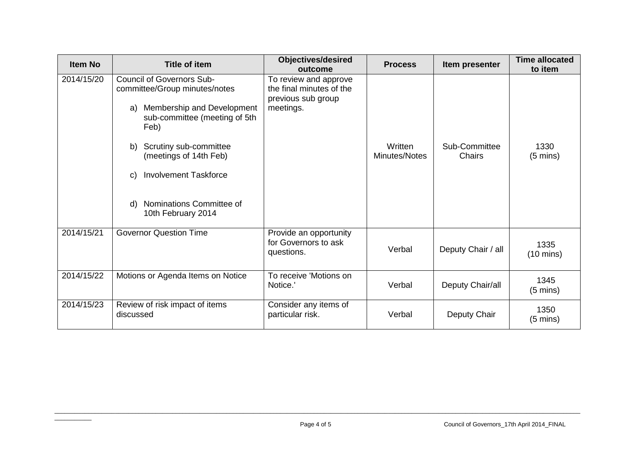| <b>Item No</b> | <b>Title of item</b>                                                                                                                                                                                                                                                                                   | <b>Objectives/desired</b><br>outcome                                                 | <b>Process</b>           | Item presenter                 | <b>Time allocated</b><br>to item |
|----------------|--------------------------------------------------------------------------------------------------------------------------------------------------------------------------------------------------------------------------------------------------------------------------------------------------------|--------------------------------------------------------------------------------------|--------------------------|--------------------------------|----------------------------------|
| 2014/15/20     | <b>Council of Governors Sub-</b><br>committee/Group minutes/notes<br>Membership and Development<br>a)<br>sub-committee (meeting of 5th<br>Feb)<br>Scrutiny sub-committee<br>b)<br>(meetings of 14th Feb)<br><b>Involvement Taskforce</b><br>C)<br>Nominations Committee of<br>d)<br>10th February 2014 | To review and approve<br>the final minutes of the<br>previous sub group<br>meetings. | Written<br>Minutes/Notes | Sub-Committee<br><b>Chairs</b> | 1330<br>$(5 \text{ mins})$       |
| 2014/15/21     | <b>Governor Question Time</b>                                                                                                                                                                                                                                                                          | Provide an opportunity<br>for Governors to ask<br>questions.                         | Verbal                   | Deputy Chair / all             | 1335<br>$(10 \text{ mins})$      |
| 2014/15/22     | Motions or Agenda Items on Notice                                                                                                                                                                                                                                                                      | To receive 'Motions on<br>Notice.'                                                   | Verbal                   | Deputy Chair/all               | 1345<br>$(5 \text{ mins})$       |
| 2014/15/23     | Review of risk impact of items<br>discussed                                                                                                                                                                                                                                                            | Consider any items of<br>particular risk.                                            | Verbal                   | Deputy Chair                   | 1350<br>$(5 \text{ mins})$       |

 $\overline{\phantom{a}}$